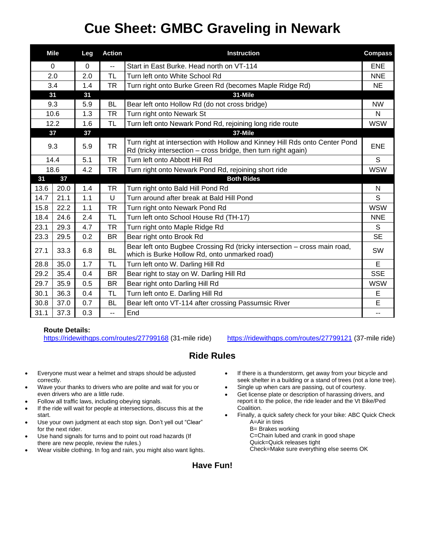# **Cue Sheet: GMBC Graveling in Newark**

|          | <b>Mile</b> | Leg      | <b>Action</b>     | <b>Instruction</b>                                                                                                                            | <b>Compass</b> |
|----------|-------------|----------|-------------------|-----------------------------------------------------------------------------------------------------------------------------------------------|----------------|
| $\Omega$ |             | $\Omega$ | --                | Start in East Burke. Head north on VT-114                                                                                                     | <b>ENE</b>     |
| 2.0      |             | 2.0      | TL                | Turn left onto White School Rd                                                                                                                | <b>NNE</b>     |
| 3.4      |             | 1.4      | <b>TR</b>         | Turn right onto Burke Green Rd (becomes Maple Ridge Rd)                                                                                       | <b>NE</b>      |
| 31       |             | 31       |                   | 31-Mile                                                                                                                                       |                |
| 9.3      |             | 5.9      | <b>BL</b>         | Bear left onto Hollow Rd (do not cross bridge)                                                                                                | <b>NW</b>      |
| 10.6     |             | 1.3      | <b>TR</b>         | Turn right onto Newark St                                                                                                                     | N              |
| 12.2     |             | 1.6      | <b>TL</b>         | Turn left onto Newark Pond Rd, rejoining long ride route                                                                                      | <b>WSW</b>     |
| 37       |             | 37       |                   | 37-Mile                                                                                                                                       |                |
| 9.3      |             | 5.9      | <b>TR</b>         | Turn right at intersection with Hollow and Kinney Hill Rds onto Center Pond<br>Rd (tricky intersection – cross bridge, then turn right again) | <b>ENE</b>     |
| 14.4     |             | 5.1      | <b>TR</b>         | Turn left onto Abbott Hill Rd                                                                                                                 | S              |
| 18.6     |             | 4.2      | <b>TR</b>         | Turn right onto Newark Pond Rd, rejoining short ride                                                                                          | <b>WSW</b>     |
| 37<br>31 |             |          | <b>Both Rides</b> |                                                                                                                                               |                |
| 13.6     | 20.0        | 1.4      | <b>TR</b>         | Turn right onto Bald Hill Pond Rd                                                                                                             | N              |
| 14.7     | 21.1        | 1.1      | $\cup$            | Turn around after break at Bald Hill Pond                                                                                                     | S              |
| 15.8     | 22.2        | 1.1      | TR                | Turn right onto Newark Pond Rd                                                                                                                | <b>WSW</b>     |
| 18.4     | 24.6        | 2.4      | <b>TL</b>         | Turn left onto School House Rd (TH-17)                                                                                                        | <b>NNE</b>     |
| 23.1     | 29.3        | 4.7      | <b>TR</b>         | Turn right onto Maple Ridge Rd                                                                                                                | S              |
| 23.3     | 29.5        | 0.2      | <b>BR</b>         | Bear right onto Brook Rd                                                                                                                      | <b>SE</b>      |
| 27.1     | 33.3        | 6.8      | <b>BL</b>         | Bear left onto Bugbee Crossing Rd (tricky intersection - cross main road,<br>which is Burke Hollow Rd, onto unmarked road)                    | SW             |
| 28.8     | 35.0        | 1.7      | <b>TL</b>         | Turn left onto W. Darling Hill Rd                                                                                                             | E              |
| 29.2     | 35.4        | 0.4      | <b>BR</b>         | Bear right to stay on W. Darling Hill Rd                                                                                                      | <b>SSE</b>     |
| 29.7     | 35.9        | 0.5      | <b>BR</b>         | Bear right onto Darling Hill Rd                                                                                                               | <b>WSW</b>     |
| 30.1     | 36.3        | 0.4      | <b>TL</b>         | Turn left onto E. Darling Hill Rd                                                                                                             | E              |
| 30.8     | 37.0        | 0.7      | <b>BL</b>         | Bear left onto VT-114 after crossing Passumsic River                                                                                          | E              |
| 31.1     | 37.3        | 0.3      | --                | End                                                                                                                                           | $-1$           |

### **Route Details:**

<https://ridewithgps.com/routes/27799168> (31-mile ride) <https://ridewithgps.com/routes/27799121> (37-mile ride)

## **Ride Rules**

- Everyone must wear a helmet and straps should be adjusted correctly.
- Wave your thanks to drivers who are polite and wait for you or even drivers who are a little rude.
- Follow all traffic laws, including obeying signals.
- If the ride will wait for people at intersections, discuss this at the start.
- Use your own judgment at each stop sign. Don't yell out "Clear" for the next rider.
- Use hand signals for turns and to point out road hazards (If there are new people, review the rules.)
- Wear visible clothing. In fog and rain, you might also want lights.
- If there is a thunderstorm, get away from your bicycle and seek shelter in a building or a stand of trees (not a lone tree).
- Single up when cars are passing, out of courtesy.
- Get license plate or description of harassing drivers, and report it to the police, the ride leader and the Vt Bike/Ped Coalition.
- Finally, a quick safety check for your bike: ABC Quick Check A=Air in tires
	- B= Brakes working C=Chain lubed and crank in good shape
	- Quick=Quick releases tight Check=Make sure everything else seems OK

### **Have Fun!**